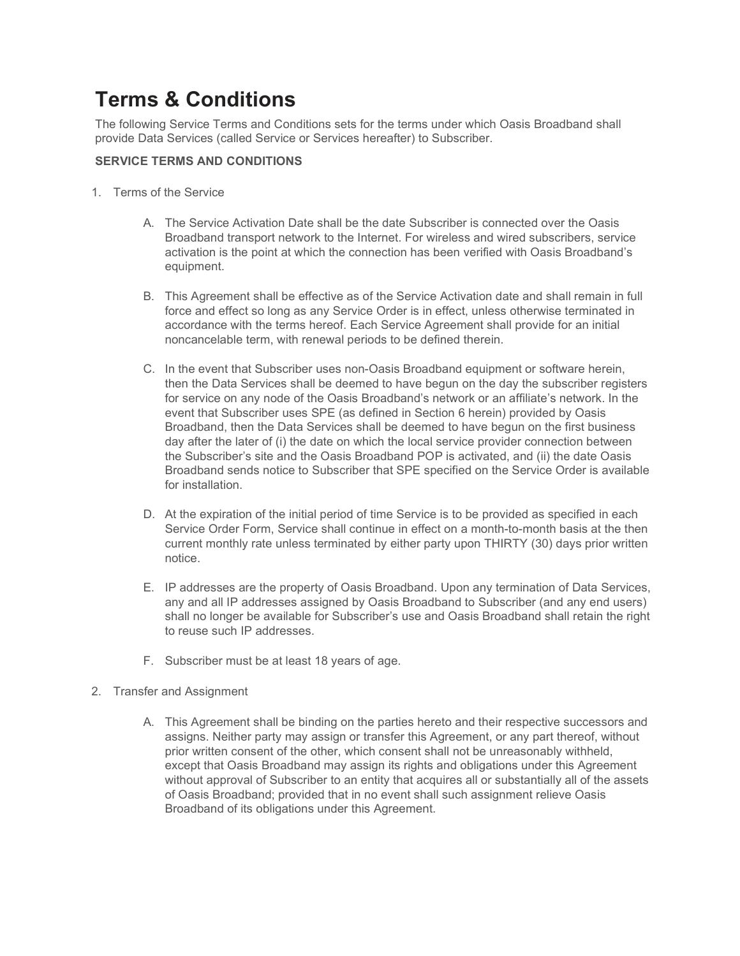# Terms & Conditions

The following Service Terms and Conditions sets for the terms under which Oasis Broadband shall provide Data Services (called Service or Services hereafter) to Subscriber.

## SERVICE TERMS AND CONDITIONS

- 1. Terms of the Service
	- A. The Service Activation Date shall be the date Subscriber is connected over the Oasis Broadband transport network to the Internet. For wireless and wired subscribers, service activation is the point at which the connection has been verified with Oasis Broadband's equipment.
	- B. This Agreement shall be effective as of the Service Activation date and shall remain in full force and effect so long as any Service Order is in effect, unless otherwise terminated in accordance with the terms hereof. Each Service Agreement shall provide for an initial noncancelable term, with renewal periods to be defined therein.
	- C. In the event that Subscriber uses non-Oasis Broadband equipment or software herein, then the Data Services shall be deemed to have begun on the day the subscriber registers for service on any node of the Oasis Broadband's network or an affiliate's network. In the event that Subscriber uses SPE (as defined in Section 6 herein) provided by Oasis Broadband, then the Data Services shall be deemed to have begun on the first business day after the later of (i) the date on which the local service provider connection between the Subscriber's site and the Oasis Broadband POP is activated, and (ii) the date Oasis Broadband sends notice to Subscriber that SPE specified on the Service Order is available for installation.
	- D. At the expiration of the initial period of time Service is to be provided as specified in each Service Order Form, Service shall continue in effect on a month-to-month basis at the then current monthly rate unless terminated by either party upon THIRTY (30) days prior written notice.
	- E. IP addresses are the property of Oasis Broadband. Upon any termination of Data Services, any and all IP addresses assigned by Oasis Broadband to Subscriber (and any end users) shall no longer be available for Subscriber's use and Oasis Broadband shall retain the right to reuse such IP addresses.
	- F. Subscriber must be at least 18 years of age.
- 2. Transfer and Assignment
	- A. This Agreement shall be binding on the parties hereto and their respective successors and assigns. Neither party may assign or transfer this Agreement, or any part thereof, without prior written consent of the other, which consent shall not be unreasonably withheld, except that Oasis Broadband may assign its rights and obligations under this Agreement without approval of Subscriber to an entity that acquires all or substantially all of the assets of Oasis Broadband; provided that in no event shall such assignment relieve Oasis Broadband of its obligations under this Agreement.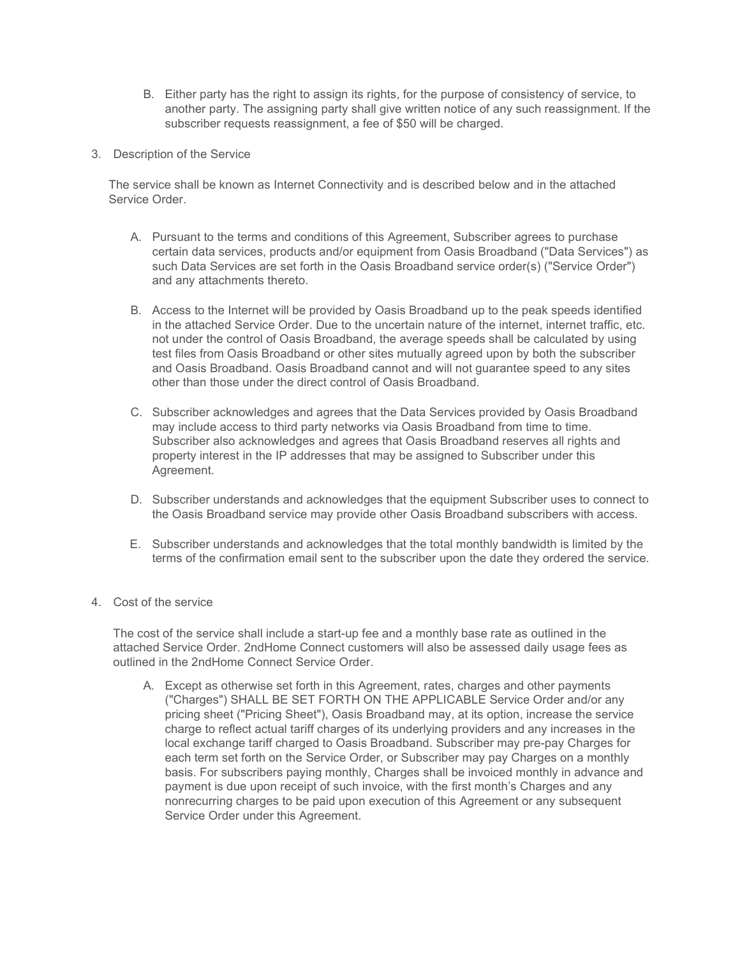- B. Either party has the right to assign its rights, for the purpose of consistency of service, to another party. The assigning party shall give written notice of any such reassignment. If the subscriber requests reassignment, a fee of \$50 will be charged.
- 3. Description of the Service

The service shall be known as Internet Connectivity and is described below and in the attached Service Order.

- A. Pursuant to the terms and conditions of this Agreement, Subscriber agrees to purchase certain data services, products and/or equipment from Oasis Broadband ("Data Services") as such Data Services are set forth in the Oasis Broadband service order(s) ("Service Order") and any attachments thereto.
- B. Access to the Internet will be provided by Oasis Broadband up to the peak speeds identified in the attached Service Order. Due to the uncertain nature of the internet, internet traffic, etc. not under the control of Oasis Broadband, the average speeds shall be calculated by using test files from Oasis Broadband or other sites mutually agreed upon by both the subscriber and Oasis Broadband. Oasis Broadband cannot and will not guarantee speed to any sites other than those under the direct control of Oasis Broadband.
- C. Subscriber acknowledges and agrees that the Data Services provided by Oasis Broadband may include access to third party networks via Oasis Broadband from time to time. Subscriber also acknowledges and agrees that Oasis Broadband reserves all rights and property interest in the IP addresses that may be assigned to Subscriber under this Agreement.
- D. Subscriber understands and acknowledges that the equipment Subscriber uses to connect to the Oasis Broadband service may provide other Oasis Broadband subscribers with access.
- E. Subscriber understands and acknowledges that the total monthly bandwidth is limited by the terms of the confirmation email sent to the subscriber upon the date they ordered the service.
- 4. Cost of the service

The cost of the service shall include a start-up fee and a monthly base rate as outlined in the attached Service Order. 2ndHome Connect customers will also be assessed daily usage fees as outlined in the 2ndHome Connect Service Order.

A. Except as otherwise set forth in this Agreement, rates, charges and other payments ("Charges") SHALL BE SET FORTH ON THE APPLICABLE Service Order and/or any pricing sheet ("Pricing Sheet"), Oasis Broadband may, at its option, increase the service charge to reflect actual tariff charges of its underlying providers and any increases in the local exchange tariff charged to Oasis Broadband. Subscriber may pre-pay Charges for each term set forth on the Service Order, or Subscriber may pay Charges on a monthly basis. For subscribers paying monthly, Charges shall be invoiced monthly in advance and payment is due upon receipt of such invoice, with the first month's Charges and any nonrecurring charges to be paid upon execution of this Agreement or any subsequent Service Order under this Agreement.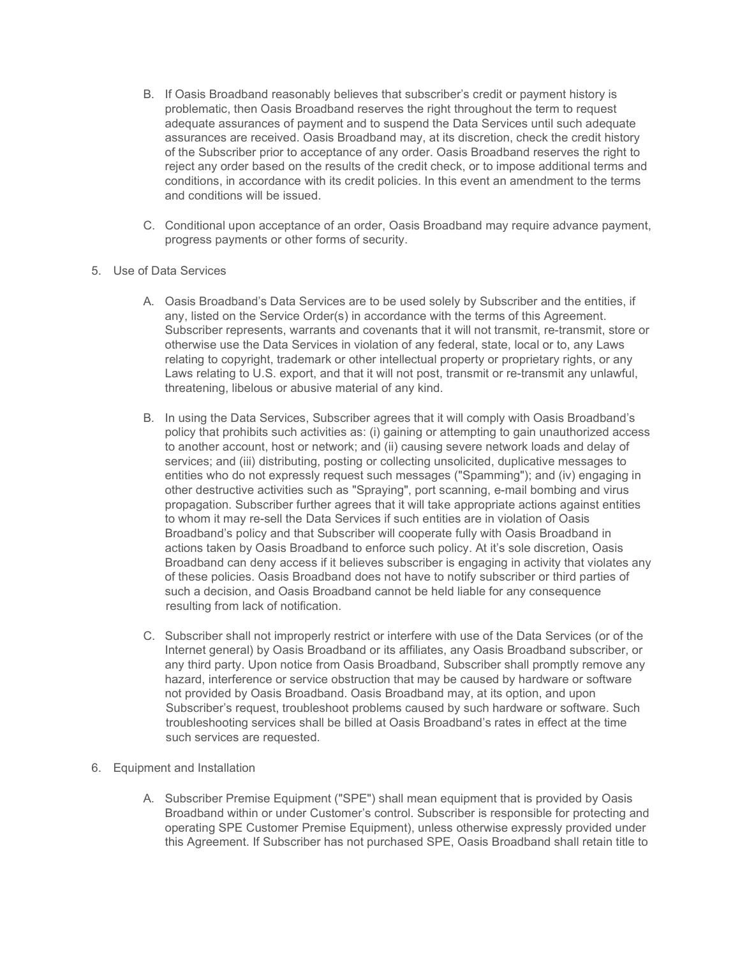- B. If Oasis Broadband reasonably believes that subscriber's credit or payment history is problematic, then Oasis Broadband reserves the right throughout the term to request adequate assurances of payment and to suspend the Data Services until such adequate assurances are received. Oasis Broadband may, at its discretion, check the credit history of the Subscriber prior to acceptance of any order. Oasis Broadband reserves the right to reject any order based on the results of the credit check, or to impose additional terms and conditions, in accordance with its credit policies. In this event an amendment to the terms and conditions will be issued.
- C. Conditional upon acceptance of an order, Oasis Broadband may require advance payment, progress payments or other forms of security.
- 5. Use of Data Services
	- A. Oasis Broadband's Data Services are to be used solely by Subscriber and the entities, if any, listed on the Service Order(s) in accordance with the terms of this Agreement. Subscriber represents, warrants and covenants that it will not transmit, re-transmit, store or otherwise use the Data Services in violation of any federal, state, local or to, any Laws relating to copyright, trademark or other intellectual property or proprietary rights, or any Laws relating to U.S. export, and that it will not post, transmit or re-transmit any unlawful, threatening, libelous or abusive material of any kind.
	- B. In using the Data Services, Subscriber agrees that it will comply with Oasis Broadband's policy that prohibits such activities as: (i) gaining or attempting to gain unauthorized access to another account, host or network; and (ii) causing severe network loads and delay of services; and (iii) distributing, posting or collecting unsolicited, duplicative messages to entities who do not expressly request such messages ("Spamming"); and (iv) engaging in other destructive activities such as "Spraying", port scanning, e-mail bombing and virus propagation. Subscriber further agrees that it will take appropriate actions against entities to whom it may re-sell the Data Services if such entities are in violation of Oasis Broadband's policy and that Subscriber will cooperate fully with Oasis Broadband in actions taken by Oasis Broadband to enforce such policy. At it's sole discretion, Oasis Broadband can deny access if it believes subscriber is engaging in activity that violates any of these policies. Oasis Broadband does not have to notify subscriber or third parties of such a decision, and Oasis Broadband cannot be held liable for any consequence resulting from lack of notification.
	- C. Subscriber shall not improperly restrict or interfere with use of the Data Services (or of the Internet general) by Oasis Broadband or its affiliates, any Oasis Broadband subscriber, or any third party. Upon notice from Oasis Broadband, Subscriber shall promptly remove any hazard, interference or service obstruction that may be caused by hardware or software not provided by Oasis Broadband. Oasis Broadband may, at its option, and upon Subscriber's request, troubleshoot problems caused by such hardware or software. Such troubleshooting services shall be billed at Oasis Broadband's rates in effect at the time such services are requested.
- 6. Equipment and Installation
	- A. Subscriber Premise Equipment ("SPE") shall mean equipment that is provided by Oasis Broadband within or under Customer's control. Subscriber is responsible for protecting and operating SPE Customer Premise Equipment), unless otherwise expressly provided under this Agreement. If Subscriber has not purchased SPE, Oasis Broadband shall retain title to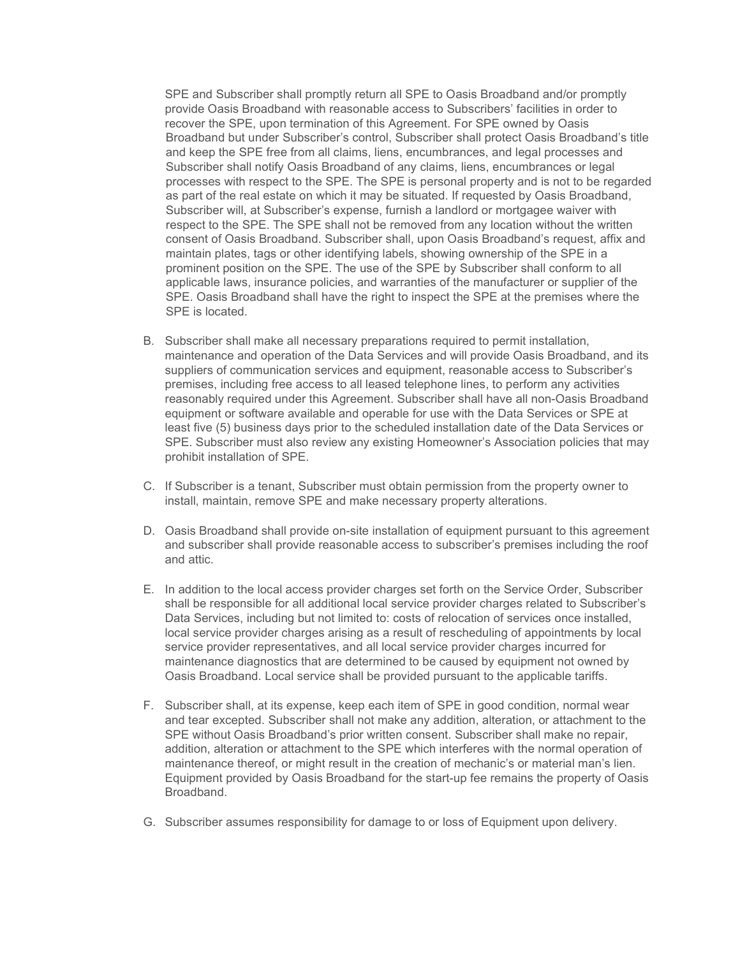SPE and Subscriber shall promptly return all SPE to Oasis Broadband and/or promptly provide Oasis Broadband with reasonable access to Subscribers' facilities in order to recover the SPE, upon termination of this Agreement. For SPE owned by Oasis Broadband but under Subscriber's control, Subscriber shall protect Oasis Broadband's title and keep the SPE free from all claims, liens, encumbrances, and legal processes and Subscriber shall notify Oasis Broadband of any claims, liens, encumbrances or legal processes with respect to the SPE. The SPE is personal property and is not to be regarded as part of the real estate on which it may be situated. If requested by Oasis Broadband, Subscriber will, at Subscriber's expense, furnish a landlord or mortgagee waiver with respect to the SPE. The SPE shall not be removed from any location without the written consent of Oasis Broadband. Subscriber shall, upon Oasis Broadband's request, affix and maintain plates, tags or other identifying labels, showing ownership of the SPE in a prominent position on the SPE. The use of the SPE by Subscriber shall conform to all applicable laws, insurance policies, and warranties of the manufacturer or supplier of the SPE. Oasis Broadband shall have the right to inspect the SPE at the premises where the SPE is located.

- B. Subscriber shall make all necessary preparations required to permit installation, maintenance and operation of the Data Services and will provide Oasis Broadband, and its suppliers of communication services and equipment, reasonable access to Subscriber's premises, including free access to all leased telephone lines, to perform any activities reasonably required under this Agreement. Subscriber shall have all non-Oasis Broadband equipment or software available and operable for use with the Data Services or SPE at least five (5) business days prior to the scheduled installation date of the Data Services or SPE. Subscriber must also review any existing Homeowner's Association policies that may prohibit installation of SPE.
- C. If Subscriber is a tenant, Subscriber must obtain permission from the property owner to install, maintain, remove SPE and make necessary property alterations.
- D. Oasis Broadband shall provide on-site installation of equipment pursuant to this agreement and subscriber shall provide reasonable access to subscriber's premises including the roof and attic.
- E. In addition to the local access provider charges set forth on the Service Order, Subscriber shall be responsible for all additional local service provider charges related to Subscriber's Data Services, including but not limited to: costs of relocation of services once installed, local service provider charges arising as a result of rescheduling of appointments by local service provider representatives, and all local service provider charges incurred for maintenance diagnostics that are determined to be caused by equipment not owned by Oasis Broadband. Local service shall be provided pursuant to the applicable tariffs.
- F. Subscriber shall, at its expense, keep each item of SPE in good condition, normal wear and tear excepted. Subscriber shall not make any addition, alteration, or attachment to the SPE without Oasis Broadband's prior written consent. Subscriber shall make no repair, addition, alteration or attachment to the SPE which interferes with the normal operation of maintenance thereof, or might result in the creation of mechanic's or material man's lien. Equipment provided by Oasis Broadband for the start-up fee remains the property of Oasis Broadband.
- G. Subscriber assumes responsibility for damage to or loss of Equipment upon delivery.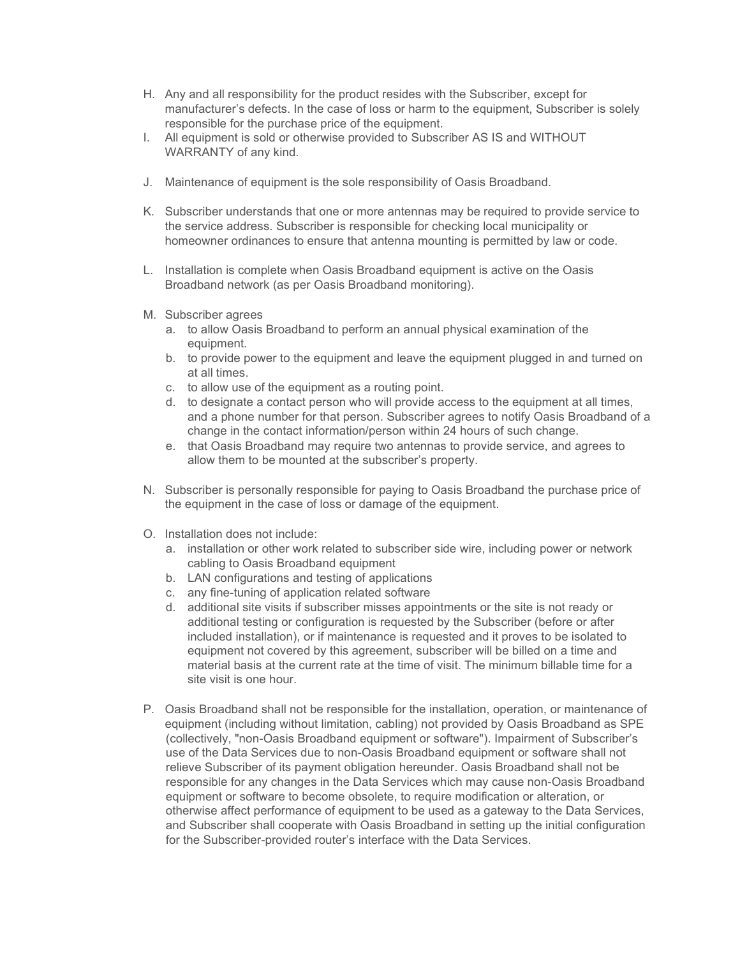- H. Any and all responsibility for the product resides with the Subscriber, except for manufacturer's defects. In the case of loss or harm to the equipment, Subscriber is solely responsible for the purchase price of the equipment.
- I. All equipment is sold or otherwise provided to Subscriber AS IS and WITHOUT WARRANTY of any kind.
- J. Maintenance of equipment is the sole responsibility of Oasis Broadband.
- K. Subscriber understands that one or more antennas may be required to provide service to the service address. Subscriber is responsible for checking local municipality or homeowner ordinances to ensure that antenna mounting is permitted by law or code.
- L. Installation is complete when Oasis Broadband equipment is active on the Oasis Broadband network (as per Oasis Broadband monitoring).
- M. Subscriber agrees
	- a. to allow Oasis Broadband to perform an annual physical examination of the equipment.
	- b. to provide power to the equipment and leave the equipment plugged in and turned on at all times.
	- c. to allow use of the equipment as a routing point.
	- d. to designate a contact person who will provide access to the equipment at all times, and a phone number for that person. Subscriber agrees to notify Oasis Broadband of a change in the contact information/person within 24 hours of such change.
	- e. that Oasis Broadband may require two antennas to provide service, and agrees to allow them to be mounted at the subscriber's property.
- N. Subscriber is personally responsible for paying to Oasis Broadband the purchase price of the equipment in the case of loss or damage of the equipment.
- O. Installation does not include:
	- a. installation or other work related to subscriber side wire, including power or network cabling to Oasis Broadband equipment
	- b. LAN configurations and testing of applications
	- c. any fine-tuning of application related software
	- d. additional site visits if subscriber misses appointments or the site is not ready or additional testing or configuration is requested by the Subscriber (before or after included installation), or if maintenance is requested and it proves to be isolated to equipment not covered by this agreement, subscriber will be billed on a time and material basis at the current rate at the time of visit. The minimum billable time for a site visit is one hour.
- P. Oasis Broadband shall not be responsible for the installation, operation, or maintenance of equipment (including without limitation, cabling) not provided by Oasis Broadband as SPE (collectively, "non-Oasis Broadband equipment or software"). Impairment of Subscriber's use of the Data Services due to non-Oasis Broadband equipment or software shall not relieve Subscriber of its payment obligation hereunder. Oasis Broadband shall not be responsible for any changes in the Data Services which may cause non-Oasis Broadband equipment or software to become obsolete, to require modification or alteration, or otherwise affect performance of equipment to be used as a gateway to the Data Services, and Subscriber shall cooperate with Oasis Broadband in setting up the initial configuration for the Subscriber-provided router's interface with the Data Services.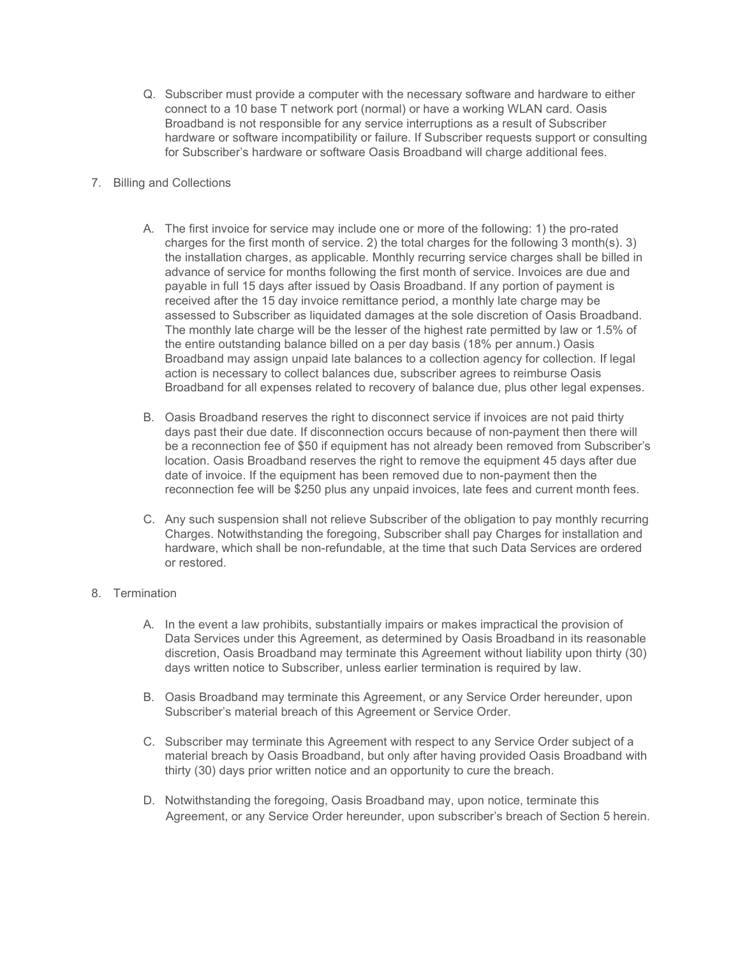- Q. Subscriber must provide a computer with the necessary software and hardware to either connect to a 10 base T network port (normal) or have a working WLAN card. Oasis Broadband is not responsible for any service interruptions as a result of Subscriber hardware or software incompatibility or failure. If Subscriber requests support or consulting for Subscriber's hardware or software Oasis Broadband will charge additional fees.
- 7. Billing and Collections
	- A. The first invoice for service may include one or more of the following: 1) the pro-rated charges for the first month of service. 2) the total charges for the following 3 month(s). 3) the installation charges, as applicable. Monthly recurring service charges shall be billed in advance of service for months following the first month of service. Invoices are due and payable in full 15 days after issued by Oasis Broadband. If any portion of payment is received after the 15 day invoice remittance period, a monthly late charge may be assessed to Subscriber as liquidated damages at the sole discretion of Oasis Broadband. The monthly late charge will be the lesser of the highest rate permitted by law or 1.5% of the entire outstanding balance billed on a per day basis (18% per annum.) Oasis Broadband may assign unpaid late balances to a collection agency for collection. If legal action is necessary to collect balances due, subscriber agrees to reimburse Oasis Broadband for all expenses related to recovery of balance due, plus other legal expenses.
	- B. Oasis Broadband reserves the right to disconnect service if invoices are not paid thirty days past their due date. If disconnection occurs because of non-payment then there will be a reconnection fee of \$50 if equipment has not already been removed from Subscriber's location. Oasis Broadband reserves the right to remove the equipment 45 days after due date of invoice. If the equipment has been removed due to non-payment then the reconnection fee will be \$250 plus any unpaid invoices, late fees and current month fees.
	- C. Any such suspension shall not relieve Subscriber of the obligation to pay monthly recurring Charges. Notwithstanding the foregoing, Subscriber shall pay Charges for installation and hardware, which shall be non-refundable, at the time that such Data Services are ordered or restored.

### 8. Termination

- A. In the event a law prohibits, substantially impairs or makes impractical the provision of Data Services under this Agreement, as determined by Oasis Broadband in its reasonable discretion, Oasis Broadband may terminate this Agreement without liability upon thirty (30) days written notice to Subscriber, unless earlier termination is required by law.
- B. Oasis Broadband may terminate this Agreement, or any Service Order hereunder, upon Subscriber's material breach of this Agreement or Service Order.
- C. Subscriber may terminate this Agreement with respect to any Service Order subject of a material breach by Oasis Broadband, but only after having provided Oasis Broadband with thirty (30) days prior written notice and an opportunity to cure the breach.
- D. Notwithstanding the foregoing, Oasis Broadband may, upon notice, terminate this Agreement, or any Service Order hereunder, upon subscriber's breach of Section 5 herein.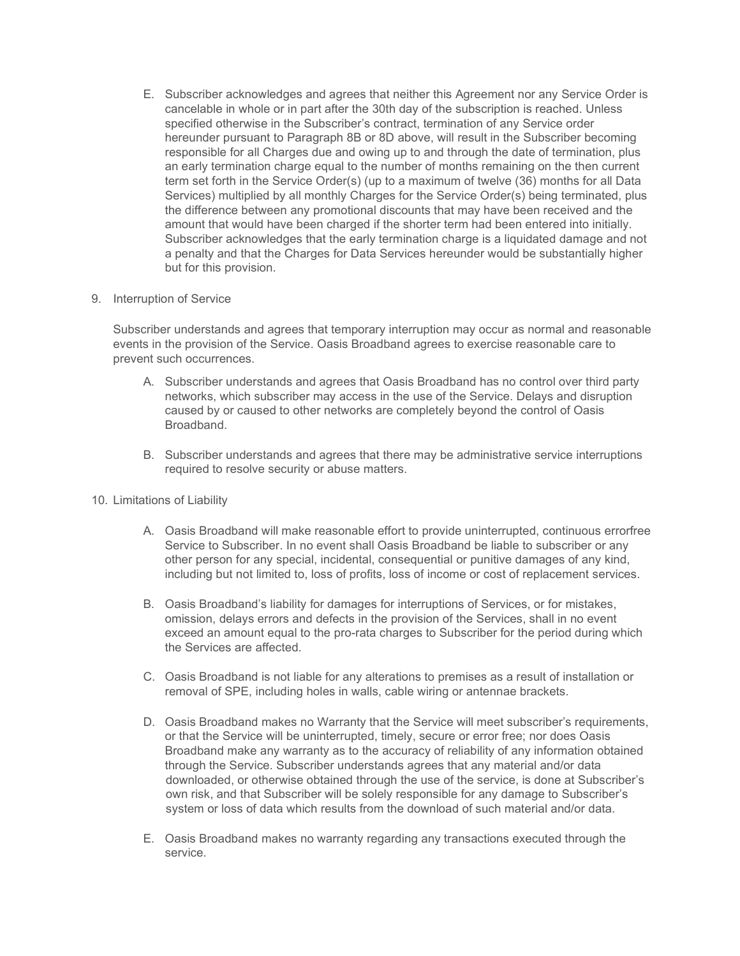E. Subscriber acknowledges and agrees that neither this Agreement nor any Service Order is cancelable in whole or in part after the 30th day of the subscription is reached. Unless specified otherwise in the Subscriber's contract, termination of any Service order hereunder pursuant to Paragraph 8B or 8D above, will result in the Subscriber becoming responsible for all Charges due and owing up to and through the date of termination, plus an early termination charge equal to the number of months remaining on the then current term set forth in the Service Order(s) (up to a maximum of twelve (36) months for all Data Services) multiplied by all monthly Charges for the Service Order(s) being terminated, plus the difference between any promotional discounts that may have been received and the amount that would have been charged if the shorter term had been entered into initially. Subscriber acknowledges that the early termination charge is a liquidated damage and not a penalty and that the Charges for Data Services hereunder would be substantially higher but for this provision.

#### 9. Interruption of Service

Subscriber understands and agrees that temporary interruption may occur as normal and reasonable events in the provision of the Service. Oasis Broadband agrees to exercise reasonable care to prevent such occurrences.

- A. Subscriber understands and agrees that Oasis Broadband has no control over third party networks, which subscriber may access in the use of the Service. Delays and disruption caused by or caused to other networks are completely beyond the control of Oasis Broadband.
- B. Subscriber understands and agrees that there may be administrative service interruptions required to resolve security or abuse matters.
- 10. Limitations of Liability
	- A. Oasis Broadband will make reasonable effort to provide uninterrupted, continuous errorfree Service to Subscriber. In no event shall Oasis Broadband be liable to subscriber or any other person for any special, incidental, consequential or punitive damages of any kind, including but not limited to, loss of profits, loss of income or cost of replacement services.
	- B. Oasis Broadband's liability for damages for interruptions of Services, or for mistakes, omission, delays errors and defects in the provision of the Services, shall in no event exceed an amount equal to the pro-rata charges to Subscriber for the period during which the Services are affected.
	- C. Oasis Broadband is not liable for any alterations to premises as a result of installation or removal of SPE, including holes in walls, cable wiring or antennae brackets.
	- D. Oasis Broadband makes no Warranty that the Service will meet subscriber's requirements, or that the Service will be uninterrupted, timely, secure or error free; nor does Oasis Broadband make any warranty as to the accuracy of reliability of any information obtained through the Service. Subscriber understands agrees that any material and/or data downloaded, or otherwise obtained through the use of the service, is done at Subscriber's own risk, and that Subscriber will be solely responsible for any damage to Subscriber's system or loss of data which results from the download of such material and/or data.
	- E. Oasis Broadband makes no warranty regarding any transactions executed through the service.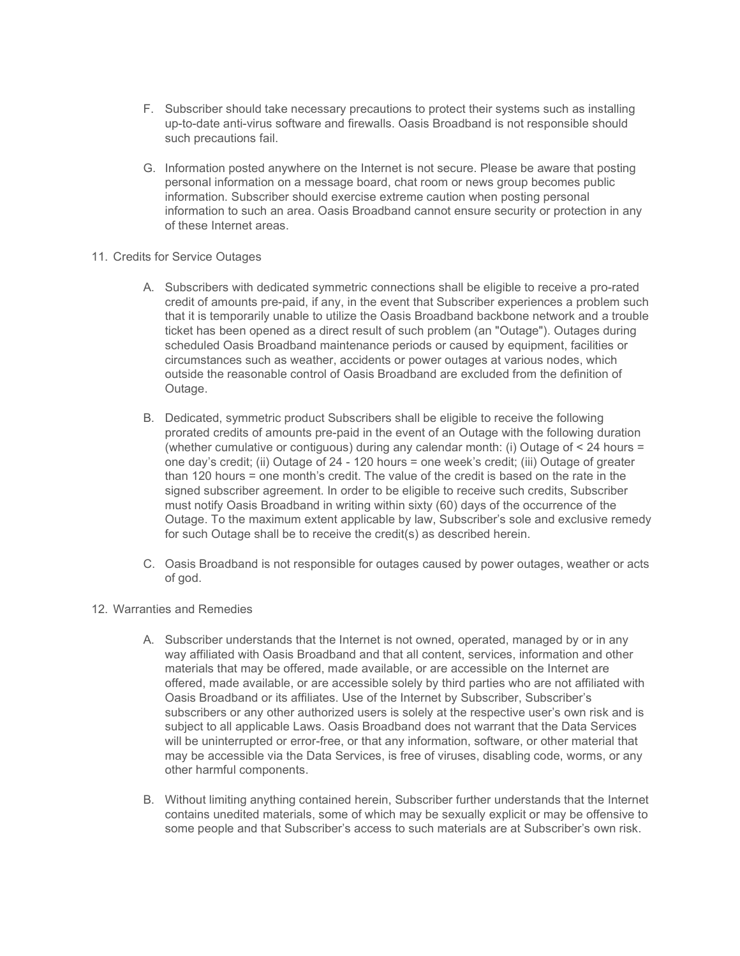- F. Subscriber should take necessary precautions to protect their systems such as installing up-to-date anti-virus software and firewalls. Oasis Broadband is not responsible should such precautions fail.
- G. Information posted anywhere on the Internet is not secure. Please be aware that posting personal information on a message board, chat room or news group becomes public information. Subscriber should exercise extreme caution when posting personal information to such an area. Oasis Broadband cannot ensure security or protection in any of these Internet areas.
- 11. Credits for Service Outages
	- A. Subscribers with dedicated symmetric connections shall be eligible to receive a pro-rated credit of amounts pre-paid, if any, in the event that Subscriber experiences a problem such that it is temporarily unable to utilize the Oasis Broadband backbone network and a trouble ticket has been opened as a direct result of such problem (an "Outage"). Outages during scheduled Oasis Broadband maintenance periods or caused by equipment, facilities or circumstances such as weather, accidents or power outages at various nodes, which outside the reasonable control of Oasis Broadband are excluded from the definition of Outage.
	- B. Dedicated, symmetric product Subscribers shall be eligible to receive the following prorated credits of amounts pre-paid in the event of an Outage with the following duration (whether cumulative or contiguous) during any calendar month: (i) Outage of < 24 hours = one day's credit; (ii) Outage of 24 - 120 hours = one week's credit; (iii) Outage of greater than 120 hours = one month's credit. The value of the credit is based on the rate in the signed subscriber agreement. In order to be eligible to receive such credits, Subscriber must notify Oasis Broadband in writing within sixty (60) days of the occurrence of the Outage. To the maximum extent applicable by law, Subscriber's sole and exclusive remedy for such Outage shall be to receive the credit(s) as described herein.
	- C. Oasis Broadband is not responsible for outages caused by power outages, weather or acts of god.
- 12. Warranties and Remedies
	- A. Subscriber understands that the Internet is not owned, operated, managed by or in any way affiliated with Oasis Broadband and that all content, services, information and other materials that may be offered, made available, or are accessible on the Internet are offered, made available, or are accessible solely by third parties who are not affiliated with Oasis Broadband or its affiliates. Use of the Internet by Subscriber, Subscriber's subscribers or any other authorized users is solely at the respective user's own risk and is subject to all applicable Laws. Oasis Broadband does not warrant that the Data Services will be uninterrupted or error-free, or that any information, software, or other material that may be accessible via the Data Services, is free of viruses, disabling code, worms, or any other harmful components.
	- B. Without limiting anything contained herein, Subscriber further understands that the Internet contains unedited materials, some of which may be sexually explicit or may be offensive to some people and that Subscriber's access to such materials are at Subscriber's own risk.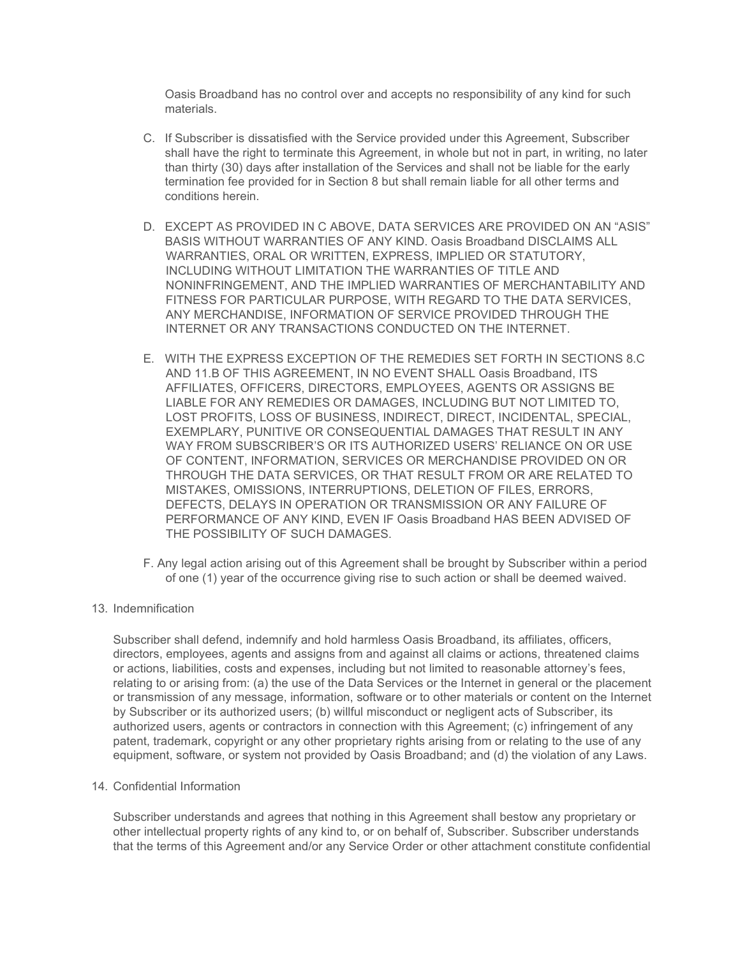Oasis Broadband has no control over and accepts no responsibility of any kind for such materials.

- C. If Subscriber is dissatisfied with the Service provided under this Agreement, Subscriber shall have the right to terminate this Agreement, in whole but not in part, in writing, no later than thirty (30) days after installation of the Services and shall not be liable for the early termination fee provided for in Section 8 but shall remain liable for all other terms and conditions herein.
- D. EXCEPT AS PROVIDED IN C ABOVE, DATA SERVICES ARE PROVIDED ON AN "ASIS" BASIS WITHOUT WARRANTIES OF ANY KIND. Oasis Broadband DISCLAIMS ALL WARRANTIES, ORAL OR WRITTEN, EXPRESS, IMPLIED OR STATUTORY, INCLUDING WITHOUT LIMITATION THE WARRANTIES OF TITLE AND NONINFRINGEMENT, AND THE IMPLIED WARRANTIES OF MERCHANTABILITY AND FITNESS FOR PARTICULAR PURPOSE, WITH REGARD TO THE DATA SERVICES, ANY MERCHANDISE, INFORMATION OF SERVICE PROVIDED THROUGH THE INTERNET OR ANY TRANSACTIONS CONDUCTED ON THE INTERNET.
- E. WITH THE EXPRESS EXCEPTION OF THE REMEDIES SET FORTH IN SECTIONS 8.C AND 11.B OF THIS AGREEMENT, IN NO EVENT SHALL Oasis Broadband, ITS AFFILIATES, OFFICERS, DIRECTORS, EMPLOYEES, AGENTS OR ASSIGNS BE LIABLE FOR ANY REMEDIES OR DAMAGES, INCLUDING BUT NOT LIMITED TO, LOST PROFITS, LOSS OF BUSINESS, INDIRECT, DIRECT, INCIDENTAL, SPECIAL, EXEMPLARY, PUNITIVE OR CONSEQUENTIAL DAMAGES THAT RESULT IN ANY WAY FROM SUBSCRIBER'S OR ITS AUTHORIZED USERS' RELIANCE ON OR USE OF CONTENT, INFORMATION, SERVICES OR MERCHANDISE PROVIDED ON OR THROUGH THE DATA SERVICES, OR THAT RESULT FROM OR ARE RELATED TO MISTAKES, OMISSIONS, INTERRUPTIONS, DELETION OF FILES, ERRORS, DEFECTS, DELAYS IN OPERATION OR TRANSMISSION OR ANY FAILURE OF PERFORMANCE OF ANY KIND, EVEN IF Oasis Broadband HAS BEEN ADVISED OF THE POSSIBILITY OF SUCH DAMAGES.
- F. Any legal action arising out of this Agreement shall be brought by Subscriber within a period of one (1) year of the occurrence giving rise to such action or shall be deemed waived.
- 13. Indemnification

Subscriber shall defend, indemnify and hold harmless Oasis Broadband, its affiliates, officers, directors, employees, agents and assigns from and against all claims or actions, threatened claims or actions, liabilities, costs and expenses, including but not limited to reasonable attorney's fees, relating to or arising from: (a) the use of the Data Services or the Internet in general or the placement or transmission of any message, information, software or to other materials or content on the Internet by Subscriber or its authorized users; (b) willful misconduct or negligent acts of Subscriber, its authorized users, agents or contractors in connection with this Agreement; (c) infringement of any patent, trademark, copyright or any other proprietary rights arising from or relating to the use of any equipment, software, or system not provided by Oasis Broadband; and (d) the violation of any Laws.

14. Confidential Information

Subscriber understands and agrees that nothing in this Agreement shall bestow any proprietary or other intellectual property rights of any kind to, or on behalf of, Subscriber. Subscriber understands that the terms of this Agreement and/or any Service Order or other attachment constitute confidential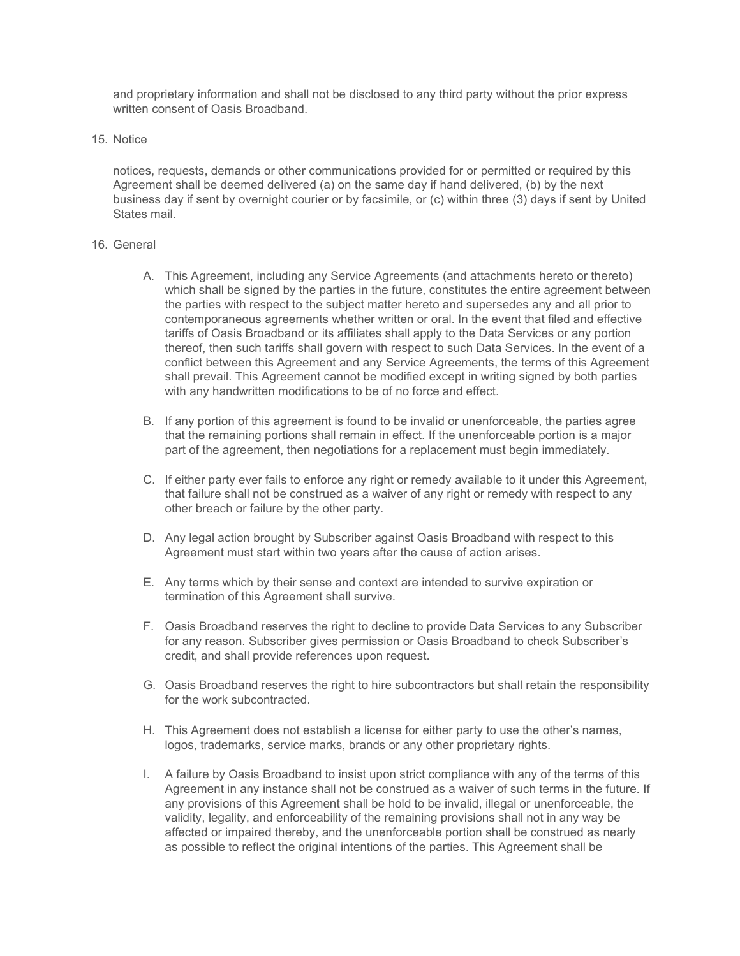and proprietary information and shall not be disclosed to any third party without the prior express written consent of Oasis Broadband.

15. Notice

notices, requests, demands or other communications provided for or permitted or required by this Agreement shall be deemed delivered (a) on the same day if hand delivered, (b) by the next business day if sent by overnight courier or by facsimile, or (c) within three (3) days if sent by United States mail.

#### 16. General

- A. This Agreement, including any Service Agreements (and attachments hereto or thereto) which shall be signed by the parties in the future, constitutes the entire agreement between the parties with respect to the subject matter hereto and supersedes any and all prior to contemporaneous agreements whether written or oral. In the event that filed and effective tariffs of Oasis Broadband or its affiliates shall apply to the Data Services or any portion thereof, then such tariffs shall govern with respect to such Data Services. In the event of a conflict between this Agreement and any Service Agreements, the terms of this Agreement shall prevail. This Agreement cannot be modified except in writing signed by both parties with any handwritten modifications to be of no force and effect.
- B. If any portion of this agreement is found to be invalid or unenforceable, the parties agree that the remaining portions shall remain in effect. If the unenforceable portion is a major part of the agreement, then negotiations for a replacement must begin immediately.
- C. If either party ever fails to enforce any right or remedy available to it under this Agreement, that failure shall not be construed as a waiver of any right or remedy with respect to any other breach or failure by the other party.
- D. Any legal action brought by Subscriber against Oasis Broadband with respect to this Agreement must start within two years after the cause of action arises.
- E. Any terms which by their sense and context are intended to survive expiration or termination of this Agreement shall survive.
- F. Oasis Broadband reserves the right to decline to provide Data Services to any Subscriber for any reason. Subscriber gives permission or Oasis Broadband to check Subscriber's credit, and shall provide references upon request.
- G. Oasis Broadband reserves the right to hire subcontractors but shall retain the responsibility for the work subcontracted.
- H. This Agreement does not establish a license for either party to use the other's names, logos, trademarks, service marks, brands or any other proprietary rights.
- I. A failure by Oasis Broadband to insist upon strict compliance with any of the terms of this Agreement in any instance shall not be construed as a waiver of such terms in the future. If any provisions of this Agreement shall be hold to be invalid, illegal or unenforceable, the validity, legality, and enforceability of the remaining provisions shall not in any way be affected or impaired thereby, and the unenforceable portion shall be construed as nearly as possible to reflect the original intentions of the parties. This Agreement shall be